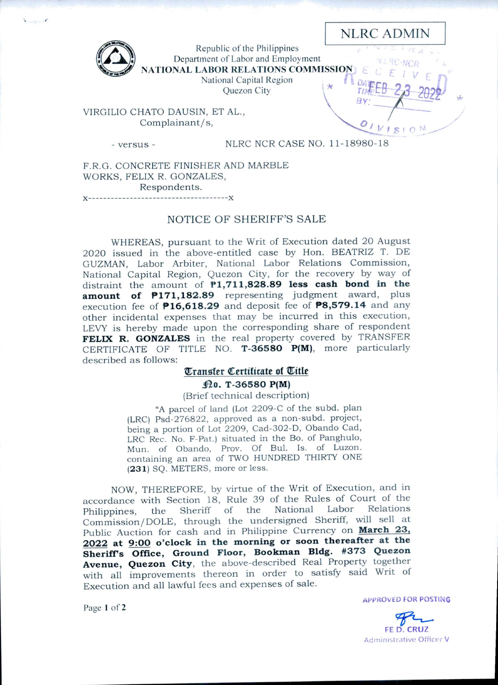NLRC ADMIN

*■m:i*

 $ISION$ 



Republic of the Philippines Department of Labor and Employment NATIONAL LABOR RELATIONS COMMISSION

National Capital Region

Quezon City

VIRGILIO CHATO DAUSIN, ET AL., Complainant/s,

*-* versus

NLRC NCR CASE NO. 11-18980-18

F.R.C. CONCRETE FINISHER AND MARBLE WORKS, FELIX R. GONZALES, Respondents.

## NOTICE OF SHERIFF'S SALE

WHEREAS, pursuant to the Writ of Execution dated 20 August 2020 issued in the above-entitled case by Hon. BEATRIZ T. DE GUZMAN, Labor Arbiter, National Labor Relations Commission, National Capital Region, Quezon City, for the recovery by way of distraint the amount of **PI,711,828.89 less cash bond in the amount of P171,182.89** representing judgment award, plus execution fee of **P16,618.29** and deposit fee of **P8,579.14** and any other incidental expenses that may be incurred in this execution, LEVY is hereby made upon the corresponding share of respondent **FELIX R. GONZALES** in the real property covered by TRANSFER CERTIFICATE OF TITLE NO. **T-36580 P(M),** more particularly described as follows:

# **Transfer Certificate of Title**

#### **i^O. T-36580 P(M)**

(Brief technical description)

"A parcel of land (Lot 2209-C of the subd. plan (LRC) Psd-276822, approved as a non-subd. project, being a portion of Lot 2209, Cad-302-D, Obando Cad, LRC Rec. No. F-Pat.) situated in the Bo. of Panghulo, Mun. of Obando, Prov. Of Bui. Is. of Luzon, containing an area of TWO HUNDRED THIRTY ONE (231) SQ. METERS, more or less.

NOW, THEREFORE, by virtue of the Writ of Execution, and in accordance with Section 18, Rule 39 of the Rules of Court of the Philippines the Sheriff of the National Labor Relations Philippines, the Sheriff of the National Labor Commission/DOLE, through the undersigned Sheriff, will sell at Public Auction for cash and in Philippine Currency on **March 23, 2022 at 9:00 o'clock in the morning or soon thereafter at the Sheriffs Office, Ground Floor, Bookman Bldg. #373 Quezon Avenue, Quezon City,** the above-described Real Property together with all improvements thereon in order to satisfy said Writ of Execution and all lawful fees and expenses of sale.

Page <sup>1</sup> of 2

**APPROVED FOR POSTING** 

FE D. CRUZ Administrative Officer V